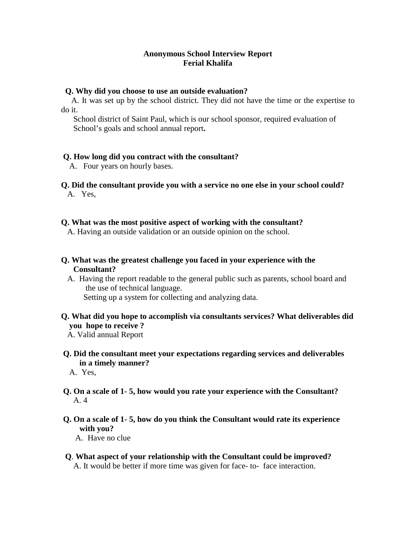### **Anonymous School Interview Report Ferial Khalifa**

#### **Q. Why did you choose to use an outside evaluation?**

 A. It was set up by the school district. They did not have the time or the expertise to do it.

 School district of Saint Paul, which is our school sponsor, required evaluation of School's goals and school annual report**.** 

### **Q. How long did you contract with the consultant?**

A. Four years on hourly bases.

#### **Q. Did the consultant provide you with a service no one else in your school could?**  A. Yes,

### **Q. What was the most positive aspect of working with the consultant?**

A. Having an outside validation or an outside opinion on the school.

## **Q. What was the greatest challenge you faced in your experience with the Consultant?**

 A. Having the report readable to the general public such as parents, school board and the use of technical language. Setting up a system for collecting and analyzing data.

## **Q. What did you hope to accomplish via consultants services? What deliverables did you hope to receive ?**

# **Q. Did the consultant meet your expectations regarding services and deliverables in a timely manner?**

A. Yes,

- **Q. On a scale of 1- 5, how would you rate your experience with the Consultant?**  A. 4
- **Q. On a scale of 1- 5, how do you think the Consultant would rate its experience with you?**

A. Have no clue

 **Q**. **What aspect of your relationship with the Consultant could be improved?** A. It would be better if more time was given for face- to- face interaction.

A. Valid annual Report